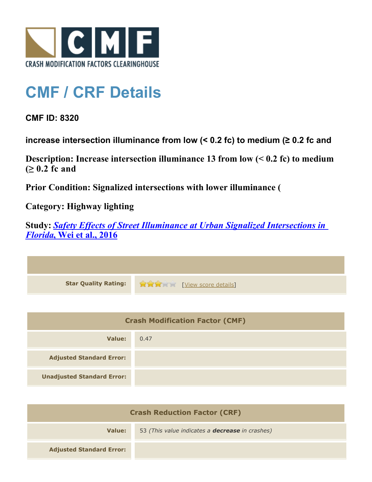

## **CMF / CRF Details**

**CMF ID: 8320**

**increase intersection illuminance from low (< 0.2 fc) to medium (≥ 0.2 fc and** 

**Description: Increase intersection illuminance 13 from low (< 0.2 fc) to medium (≥ 0.2 fc and** 

**Prior Condition: Signalized intersections with lower illuminance (**

**Category: Highway lighting**

**Study:** *[Safety Effects of Street Illuminance at Urban Signalized Intersections in](http://www.cmfclearinghouse.org/study_detail.cfm?stid=462) [Florida](http://www.cmfclearinghouse.org/study_detail.cfm?stid=462)***[, Wei et al., 2016](http://www.cmfclearinghouse.org/study_detail.cfm?stid=462)**

| Star Quality Rating: 1999 [View score details] |
|------------------------------------------------|

| <b>Crash Modification Factor (CMF)</b> |      |
|----------------------------------------|------|
| Value:                                 | 0.47 |
| <b>Adjusted Standard Error:</b>        |      |
| <b>Unadjusted Standard Error:</b>      |      |

| <b>Crash Reduction Factor (CRF)</b> |                                                        |
|-------------------------------------|--------------------------------------------------------|
| Value:                              | 53 (This value indicates a <b>decrease</b> in crashes) |
| <b>Adjusted Standard Error:</b>     |                                                        |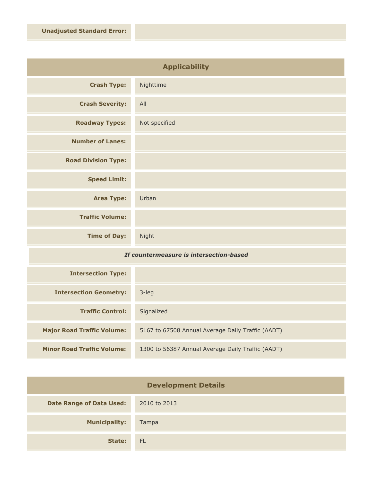| <b>Applicability</b>       |               |
|----------------------------|---------------|
| <b>Crash Type:</b>         | Nighttime     |
| <b>Crash Severity:</b>     | All           |
| <b>Roadway Types:</b>      | Not specified |
| <b>Number of Lanes:</b>    |               |
| <b>Road Division Type:</b> |               |
| <b>Speed Limit:</b>        |               |
| <b>Area Type:</b>          | Urban         |
| <b>Traffic Volume:</b>     |               |
| <b>Time of Day:</b>        | Night         |

## *If countermeasure is intersection-based*

| <b>Intersection Type:</b>         |                                                   |
|-----------------------------------|---------------------------------------------------|
| <b>Intersection Geometry:</b>     | $3$ -leg                                          |
| <b>Traffic Control:</b>           | Signalized                                        |
| <b>Major Road Traffic Volume:</b> | 5167 to 67508 Annual Average Daily Traffic (AADT) |
| <b>Minor Road Traffic Volume:</b> | 1300 to 56387 Annual Average Daily Traffic (AADT) |

| <b>Development Details</b>      |              |
|---------------------------------|--------------|
| <b>Date Range of Data Used:</b> | 2010 to 2013 |
| <b>Municipality:</b>            | Tampa        |
| State:                          | FL.          |